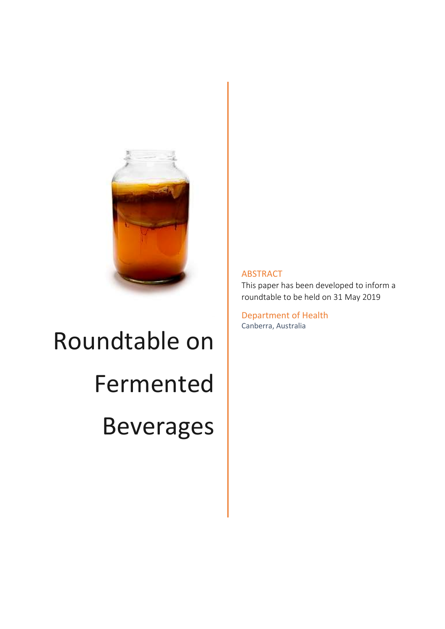

# Roundtable on Fermented Beverages

#### ABSTRACT

This paper has been developed to inform a roundtable to be held on 31 May 2019

Department of Health Canberra, Australia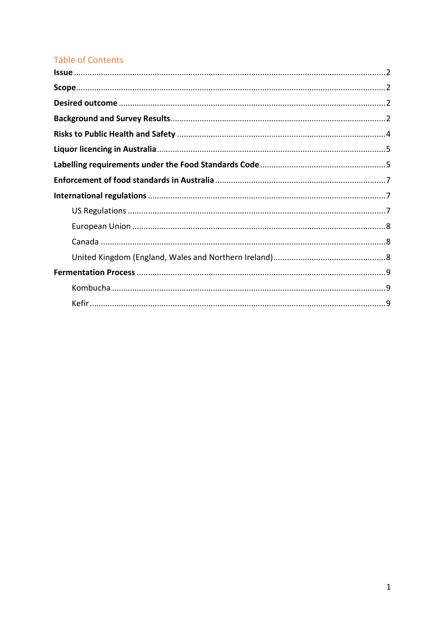# **Table of Contents**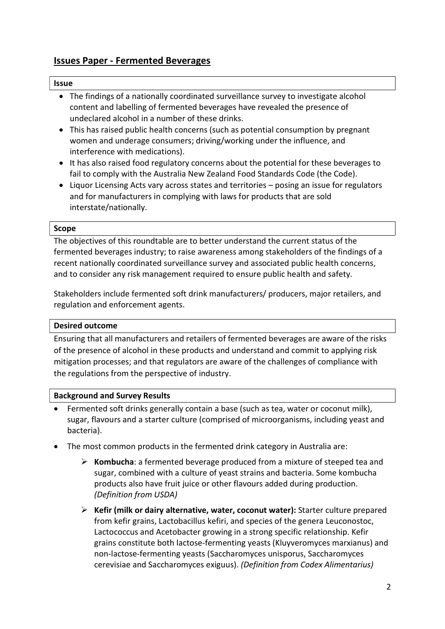# Issues Paper - Fermented Beverages

#### Issue

- The findings of a nationally coordinated surveillance survey to investigate alcohol content and labelling of fermented beverages have revealed the presence of undeclared alcohol in a number of these drinks.
- This has raised public health concerns (such as potential consumption by pregnant women and underage consumers; driving/working under the influence, and interference with medications).
- It has also raised food regulatory concerns about the potential for these beverages to fail to comply with the Australia New Zealand Food Standards Code (the Code).
- Liquor Licensing Acts vary across states and territories posing an issue for regulators and for manufacturers in complying with laws for products that are sold interstate/nationally.

#### Scope

The objectives of this roundtable are to better understand the current status of the fermented beverages industry; to raise awareness among stakeholders of the findings of a recent nationally coordinated surveillance survey and associated public health concerns, and to consider any risk management required to ensure public health and safety.

Stakeholders include fermented soft drink manufacturers/ producers, major retailers, and regulation and enforcement agents.

#### Desired outcome

Ensuring that all manufacturers and retailers of fermented beverages are aware of the risks of the presence of alcohol in these products and understand and commit to applying risk mitigation processes; and that regulators are aware of the challenges of compliance with the regulations from the perspective of industry.

#### Background and Survey Results

- Fermented soft drinks generally contain a base (such as tea, water or coconut milk), sugar, flavours and a starter culture (comprised of microorganisms, including yeast and bacteria).
- The most common products in the fermented drink category in Australia are:
	- $\triangleright$  Kombucha: a fermented beverage produced from a mixture of steeped tea and sugar, combined with a culture of yeast strains and bacteria. Some kombucha products also have fruit juice or other flavours added during production. (Definition from USDA)
	- $\triangleright$  Kefir (milk or dairy alternative, water, coconut water): Starter culture prepared from kefir grains, Lactobacillus kefiri, and species of the genera Leuconostoc, Lactococcus and Acetobacter growing in a strong specific relationship. Kefir grains constitute both lactose-fermenting yeasts (Kluyveromyces marxianus) and non-lactose-fermenting yeasts (Saccharomyces unisporus, Saccharomyces cerevisiae and Saccharomyces exiguus). (Definition from Codex Alimentarius)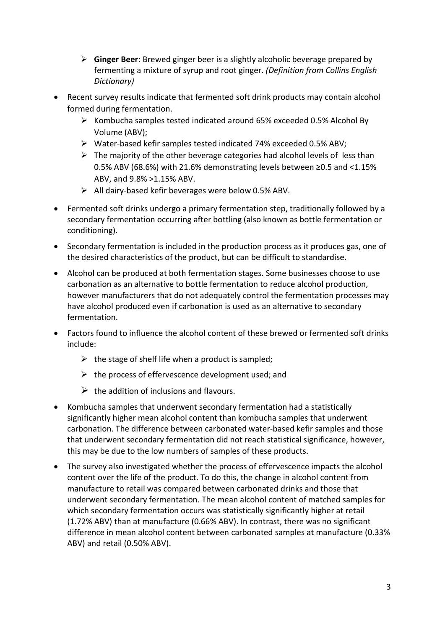- $\triangleright$  Ginger Beer: Brewed ginger beer is a slightly alcoholic beverage prepared by fermenting a mixture of syrup and root ginger. (Definition from Collins English Dictionary)
- Recent survey results indicate that fermented soft drink products may contain alcohol formed during fermentation.
	- $\triangleright$  Kombucha samples tested indicated around 65% exceeded 0.5% Alcohol By Volume (ABV);
	- Water-based kefir samples tested indicated 74% exceeded 0.5% ABV;
	- $\triangleright$  The majority of the other beverage categories had alcohol levels of less than 0.5% ABV (68.6%) with 21.6% demonstrating levels between ≥0.5 and <1.15% ABV, and 9.8% >1.15% ABV.
	- $\triangleright$  All dairy-based kefir beverages were below 0.5% ABV.
- Fermented soft drinks undergo a primary fermentation step, traditionally followed by a secondary fermentation occurring after bottling (also known as bottle fermentation or conditioning).
- Secondary fermentation is included in the production process as it produces gas, one of the desired characteristics of the product, but can be difficult to standardise.
- Alcohol can be produced at both fermentation stages. Some businesses choose to use carbonation as an alternative to bottle fermentation to reduce alcohol production, however manufacturers that do not adequately control the fermentation processes may have alcohol produced even if carbonation is used as an alternative to secondary fermentation.
- Factors found to influence the alcohol content of these brewed or fermented soft drinks include:
	- $\triangleright$  the stage of shelf life when a product is sampled;
	- $\triangleright$  the process of effervescence development used; and
	- $\triangleright$  the addition of inclusions and flavours.
- Kombucha samples that underwent secondary fermentation had a statistically significantly higher mean alcohol content than kombucha samples that underwent carbonation. The difference between carbonated water-based kefir samples and those that underwent secondary fermentation did not reach statistical significance, however, this may be due to the low numbers of samples of these products.
- The survey also investigated whether the process of effervescence impacts the alcohol content over the life of the product. To do this, the change in alcohol content from manufacture to retail was compared between carbonated drinks and those that underwent secondary fermentation. The mean alcohol content of matched samples for which secondary fermentation occurs was statistically significantly higher at retail (1.72% ABV) than at manufacture (0.66% ABV). In contrast, there was no significant difference in mean alcohol content between carbonated samples at manufacture (0.33% ABV) and retail (0.50% ABV).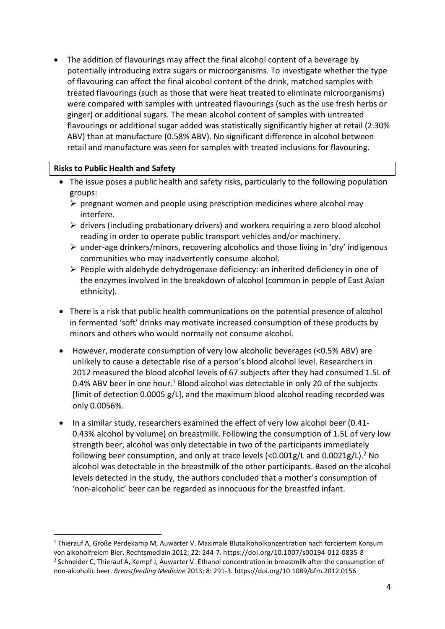The addition of flavourings may affect the final alcohol content of a beverage by potentially introducing extra sugars or microorganisms. To investigate whether the type of flavouring can affect the final alcohol content of the drink, matched samples with treated flavourings (such as those that were heat treated to eliminate microorganisms) were compared with samples with untreated flavourings (such as the use fresh herbs or ginger) or additional sugars. The mean alcohol content of samples with untreated flavourings or additional sugar added was statistically significantly higher at retail (2.30% ABV) than at manufacture (0.58% ABV). No significant difference in alcohol between retail and manufacture was seen for samples with treated inclusions for flavouring.

#### Risks to Public Health and Safety

-

- The issue poses a public health and safety risks, particularly to the following population groups:
	- $\triangleright$  pregnant women and people using prescription medicines where alcohol may interfere.
	- $\triangleright$  drivers (including probationary drivers) and workers requiring a zero blood alcohol reading in order to operate public transport vehicles and/or machinery.
	- $\triangleright$  under-age drinkers/minors, recovering alcoholics and those living in 'dry' indigenous communities who may inadvertently consume alcohol.
	- $\triangleright$  People with aldehyde dehydrogenase deficiency: an inherited deficiency in one of the enzymes involved in the breakdown of alcohol (common in people of East Asian ethnicity).
- There is a risk that public health communications on the potential presence of alcohol in fermented 'soft' drinks may motivate increased consumption of these products by minors and others who would normally not consume alcohol.
- However, moderate consumption of very low alcoholic beverages (<0.5% ABV) are unlikely to cause a detectable rise of a person's blood alcohol level. Researchers in 2012 measured the blood alcohol levels of 67 subjects after they had consumed 1.5L of 0.4% ABV beer in one hour.<sup>1</sup> Blood alcohol was detectable in only 20 of the subjects [limit of detection 0.0005 g/L], and the maximum blood alcohol reading recorded was only 0.0056%.
- In a similar study, researchers examined the effect of very low alcohol beer (0.41- 0.43% alcohol by volume) on breastmilk. Following the consumption of 1.5L of very low strength beer, alcohol was only detectable in two of the participants immediately following beer consumption, and only at trace levels  $\left\langle \text{0.001g/L} \right.$  and 0.0021g/L).<sup>2</sup> No alcohol was detectable in the breastmilk of the other participants. Based on the alcohol levels detected in the study, the authors concluded that a mother's consumption of 'non-alcoholic' beer can be regarded as innocuous for the breastfed infant.

<sup>&</sup>lt;sup>1</sup> Thierauf A, Große Perdekamp M, Auwärter V. Maximale Blutalkoholkonzentration nach forciertem Konsum von alkoholfreiem Bier. Rechtsmedizin 2012; 22: 244-7. https://doi.org/10.1007/s00194-012-0835-8 <sup>2</sup> Schneider C, Thierauf A, Kempf J, Auwarter V. Ethanol concentration in breastmilk after the consumption of non-alcoholic beer. Breastfeeding Medicine 2013; 8: 291-3. https://doi.org/10.1089/bfm.2012.0156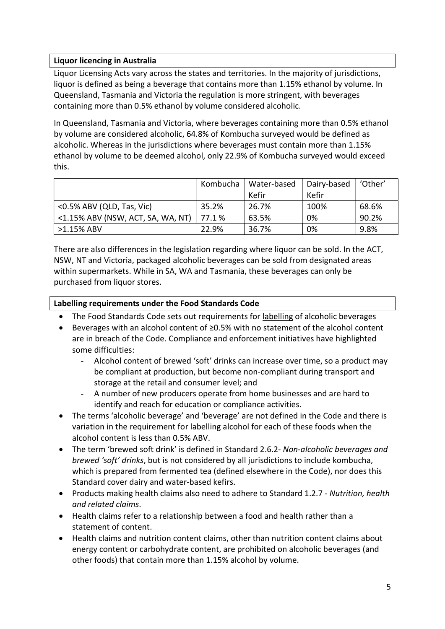## Liquor licencing in Australia

Liquor Licensing Acts vary across the states and territories. In the majority of jurisdictions, liquor is defined as being a beverage that contains more than 1.15% ethanol by volume. In Queensland, Tasmania and Victoria the regulation is more stringent, with beverages containing more than 0.5% ethanol by volume considered alcoholic.

In Queensland, Tasmania and Victoria, where beverages containing more than 0.5% ethanol by volume are considered alcoholic, 64.8% of Kombucha surveyed would be defined as alcoholic. Whereas in the jurisdictions where beverages must contain more than 1.15% ethanol by volume to be deemed alcohol, only 22.9% of Kombucha surveyed would exceed this.

|                                   | Kombucha | Water-based | Dairy-based | 'Other' |
|-----------------------------------|----------|-------------|-------------|---------|
|                                   |          | Kefir       | Kefir       |         |
| <0.5% ABV (QLD, Tas, Vic)         | 35.2%    | 26.7%       | 100%        | 68.6%   |
| <1.15% ABV (NSW, ACT, SA, WA, NT) | 77.1 %   | 63.5%       | 0%          | 90.2%   |
| $>1.15\%$ ABV                     | 22.9%    | 36.7%       | 0%          | 9.8%    |

There are also differences in the legislation regarding where liquor can be sold. In the ACT, NSW, NT and Victoria, packaged alcoholic beverages can be sold from designated areas within supermarkets. While in SA, WA and Tasmania, these beverages can only be purchased from liquor stores.

## Labelling requirements under the Food Standards Code

- The Food Standards Code sets out requirements for labelling of alcoholic beverages
- Beverages with an alcohol content of ≥0.5% with no statement of the alcohol content are in breach of the Code. Compliance and enforcement initiatives have highlighted some difficulties:
	- Alcohol content of brewed 'soft' drinks can increase over time, so a product may be compliant at production, but become non-compliant during transport and storage at the retail and consumer level; and
	- A number of new producers operate from home businesses and are hard to identify and reach for education or compliance activities.
- The terms 'alcoholic beverage' and 'beverage' are not defined in the Code and there is variation in the requirement for labelling alcohol for each of these foods when the alcohol content is less than 0.5% ABV.
- The term 'brewed soft drink' is defined in Standard 2.6.2- Non-alcoholic beverages and brewed 'soft' drinks, but is not considered by all jurisdictions to include kombucha, which is prepared from fermented tea (defined elsewhere in the Code), nor does this Standard cover dairy and water-based kefirs.
- Products making health claims also need to adhere to Standard 1.2.7 Nutrition, health and related claims.
- Health claims refer to a relationship between a food and health rather than a statement of content.
- Health claims and nutrition content claims, other than nutrition content claims about energy content or carbohydrate content, are prohibited on alcoholic beverages (and other foods) that contain more than 1.15% alcohol by volume.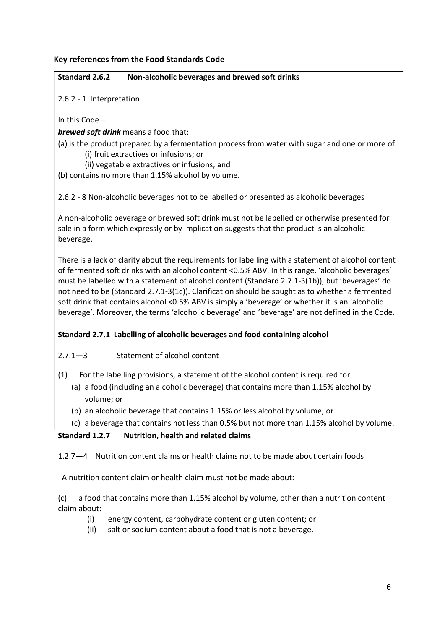## Key references from the Food Standards Code

#### Standard 2.6.2 Non-alcoholic beverages and brewed soft drinks

2.6.2 - 1 Interpretation

In this Code –

**brewed soft drink** means a food that:

- (a) is the product prepared by a fermentation process from water with sugar and one or more of: (i) fruit extractives or infusions; or
	- (ii) vegetable extractives or infusions; and

(b) contains no more than 1.15% alcohol by volume.

2.6.2 - 8 Non-alcoholic beverages not to be labelled or presented as alcoholic beverages

A non-alcoholic beverage or brewed soft drink must not be labelled or otherwise presented for sale in a form which expressly or by implication suggests that the product is an alcoholic beverage.

There is a lack of clarity about the requirements for labelling with a statement of alcohol content of fermented soft drinks with an alcohol content <0.5% ABV. In this range, 'alcoholic beverages' must be labelled with a statement of alcohol content (Standard 2.7.1-3(1b)), but 'beverages' do not need to be (Standard 2.7.1-3(1c)). Clarification should be sought as to whether a fermented soft drink that contains alcohol <0.5% ABV is simply a 'beverage' or whether it is an 'alcoholic beverage'. Moreover, the terms 'alcoholic beverage' and 'beverage' are not defined in the Code.

## Standard 2.7.1 Labelling of alcoholic beverages and food containing alcohol

2.7.1—3 Statement of alcohol content

- (1) For the labelling provisions, a statement of the alcohol content is required for:
	- (a) a food (including an alcoholic beverage) that contains more than 1.15% alcohol by volume; or
	- (b) an alcoholic beverage that contains 1.15% or less alcohol by volume; or
	- (c) a beverage that contains not less than 0.5% but not more than 1.15% alcohol by volume.

## Standard 1.2.7 Nutrition, health and related claims

1.2.7—4 Nutrition content claims or health claims not to be made about certain foods

A nutrition content claim or health claim must not be made about:

(c) a food that contains more than 1.15% alcohol by volume, other than a nutrition content claim about:

- (i) energy content, carbohydrate content or gluten content; or
- (ii) salt or sodium content about a food that is not a beverage.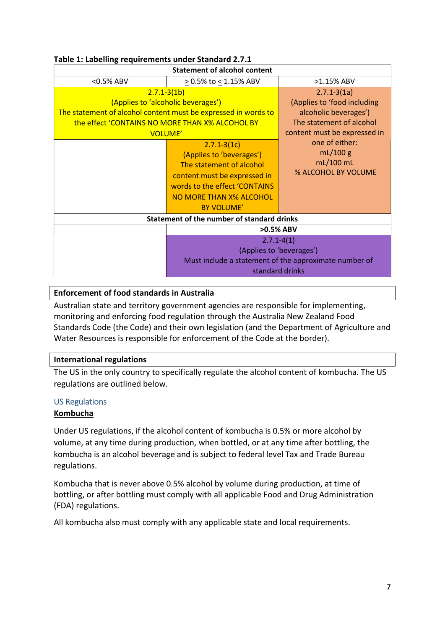| <b>Statement of alcohol content</b>        |                                                                                                                                                                                                                                                                                                                                                                                                 |                                                                                                                                                                                                         |  |  |
|--------------------------------------------|-------------------------------------------------------------------------------------------------------------------------------------------------------------------------------------------------------------------------------------------------------------------------------------------------------------------------------------------------------------------------------------------------|---------------------------------------------------------------------------------------------------------------------------------------------------------------------------------------------------------|--|--|
| <0.5% ABV                                  | ≥ 0.5% to ≤ 1.15% ABV                                                                                                                                                                                                                                                                                                                                                                           | >1.15% ABV                                                                                                                                                                                              |  |  |
|                                            | $2.7.1 - 3(1b)$<br>(Applies to 'alcoholic beverages')<br>The statement of alcohol content must be expressed in words to<br>the effect 'CONTAINS NO MORE THAN X% ALCOHOL BY<br><b>VOLUME'</b><br>$2.7.1 - 3(1c)$<br>(Applies to 'beverages')<br>The statement of alcohol<br>content must be expressed in<br>words to the effect 'CONTAINS<br><b>NO MORE THAN X% ALCOHOL</b><br><b>BY VOLUME'</b> | $2.7.1 - 3(1a)$<br>(Applies to 'food including<br>alcoholic beverages')<br>The statement of alcohol<br>content must be expressed in<br>one of either:<br>mL/100 g<br>$mL/100$ mL<br>% ALCOHOL BY VOLUME |  |  |
| Statement of the number of standard drinks |                                                                                                                                                                                                                                                                                                                                                                                                 |                                                                                                                                                                                                         |  |  |
|                                            | >0.5% ABV                                                                                                                                                                                                                                                                                                                                                                                       |                                                                                                                                                                                                         |  |  |
|                                            | $2.7.1 - 4(1)$<br>(Applies to 'beverages')<br>Must include a statement of the approximate number of<br>standard drinks                                                                                                                                                                                                                                                                          |                                                                                                                                                                                                         |  |  |

# Table 1: Labelling requirements under Standard 2.7.1

## Enforcement of food standards in Australia

Australian state and territory government agencies are responsible for implementing, monitoring and enforcing food regulation through the Australia New Zealand Food Standards Code (the Code) and their own legislation (and the Department of Agriculture and Water Resources is responsible for enforcement of the Code at the border).

## International regulations

The US in the only country to specifically regulate the alcohol content of kombucha. The US regulations are outlined below.

## US Regulations

## Kombucha

Under US regulations, if the alcohol content of kombucha is 0.5% or more alcohol by volume, at any time during production, when bottled, or at any time after bottling, the kombucha is an alcohol beverage and is subject to federal level Tax and Trade Bureau regulations.

Kombucha that is never above 0.5% alcohol by volume during production, at time of bottling, or after bottling must comply with all applicable Food and Drug Administration (FDA) regulations.

All kombucha also must comply with any applicable state and local requirements.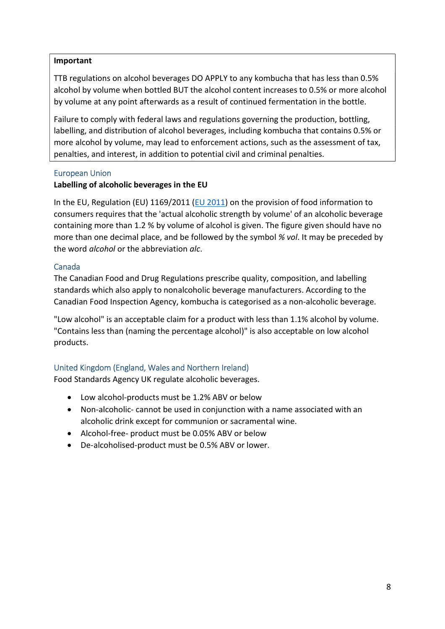#### Important

TTB regulations on alcohol beverages DO APPLY to any kombucha that has less than 0.5% alcohol by volume when bottled BUT the alcohol content increases to 0.5% or more alcohol by volume at any point afterwards as a result of continued fermentation in the bottle.

Failure to comply with federal laws and regulations governing the production, bottling, labelling, and distribution of alcohol beverages, including kombucha that contains 0.5% or more alcohol by volume, may lead to enforcement actions, such as the assessment of tax, penalties, and interest, in addition to potential civil and criminal penalties.

#### European Union

#### Labelling of alcoholic beverages in the EU

In the EU, Regulation (EU) 1169/2011 (EU 2011) on the provision of food information to consumers requires that the 'actual alcoholic strength by volume' of an alcoholic beverage containing more than 1.2 % by volume of alcohol is given. The figure given should have no more than one decimal place, and be followed by the symbol % vol. It may be preceded by the word *alcohol* or the abbreviation *alc.* 

#### Canada

The Canadian Food and Drug Regulations prescribe quality, composition, and labelling standards which also apply to nonalcoholic beverage manufacturers. According to the Canadian Food Inspection Agency, kombucha is categorised as a non-alcoholic beverage.

"Low alcohol" is an acceptable claim for a product with less than 1.1% alcohol by volume. "Contains less than (naming the percentage alcohol)" is also acceptable on low alcohol products.

## United Kingdom (England, Wales and Northern Ireland)

Food Standards Agency UK regulate alcoholic beverages.

- Low alcohol-products must be 1.2% ABV or below
- Non-alcoholic- cannot be used in conjunction with a name associated with an alcoholic drink except for communion or sacramental wine.
- Alcohol-free- product must be 0.05% ABV or below
- De-alcoholised-product must be 0.5% ABV or lower.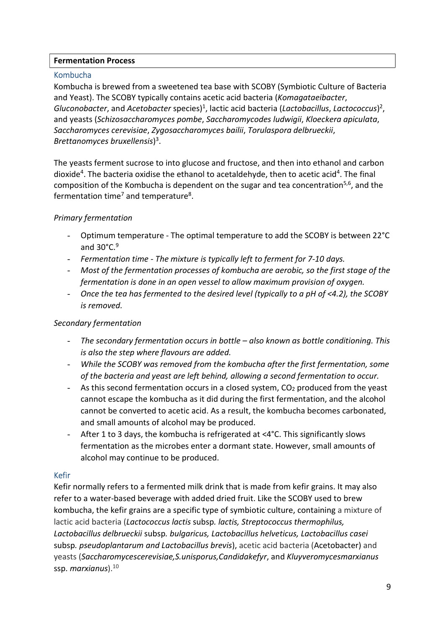#### Fermentation Process

### Kombucha

Kombucha is brewed from a sweetened tea base with SCOBY (Symbiotic Culture of Bacteria and Yeast). The SCOBY typically contains acetic acid bacteria (Komagataeibacter, Gluconobacter, and Acetobacter species)<sup>1</sup>, lactic acid bacteria (Lactobacillus, Lactococcus)<sup>2</sup>, and yeasts (Schizosaccharomyces pombe, Saccharomycodes ludwigii, Kloeckera apiculata, Saccharomyces cerevisiae, Zygosaccharomyces bailii, Torulaspora delbrueckii, Brettanomyces bruxellensis) 3 .

The yeasts ferment sucrose to into glucose and fructose, and then into ethanol and carbon dioxide<sup>4</sup>. The bacteria oxidise the ethanol to acetaldehyde, then to acetic acid<sup>4</sup>. The final composition of the Kombucha is dependent on the sugar and tea concentration<sup>5,6</sup>, and the fermentation time<sup>7</sup> and temperature<sup>8</sup>.

## Primary fermentation

- Optimum temperature The optimal temperature to add the SCOBY is between 22°C and  $30^{\circ}$ C. $9^{\circ}$
- Fermentation time The mixture is typically left to ferment for 7-10 days.
- Most of the fermentation processes of kombucha are aerobic, so the first stage of the fermentation is done in an open vessel to allow maximum provision of oxygen.
- Once the tea has fermented to the desired level (typically to a pH of <4.2), the SCOBY is removed.

#### Secondary fermentation

- The secondary fermentation occurs in bottle also known as bottle conditioning. This is also the step where flavours are added.
- While the SCOBY was removed from the kombucha after the first fermentation, some of the bacteria and yeast are left behind, allowing a second fermentation to occur.
- As this second fermentation occurs in a closed system,  $CO<sub>2</sub>$  produced from the yeast cannot escape the kombucha as it did during the first fermentation, and the alcohol cannot be converted to acetic acid. As a result, the kombucha becomes carbonated, and small amounts of alcohol may be produced.
- After 1 to 3 days, the kombucha is refrigerated at <4°C. This significantly slows fermentation as the microbes enter a dormant state. However, small amounts of alcohol may continue to be produced.

#### Kefir

Kefir normally refers to a fermented milk drink that is made from kefir grains. It may also refer to a water-based beverage with added dried fruit. Like the SCOBY used to brew kombucha, the kefir grains are a specific type of symbiotic culture, containing a mixture of lactic acid bacteria (Lactococcus lactis subsp. lactis, Streptococcus thermophilus, Lactobacillus delbrueckii subsp. bulgaricus, Lactobacillus helveticus, Lactobacillus casei subsp. pseudoplantarum and Lactobacillus brevis), acetic acid bacteria (Acetobacter) and yeasts (Saccharomycescerevisiae,S.unisporus,Candidakefyr, and Kluyveromycesmarxianus ssp. marxianus).<sup>10</sup>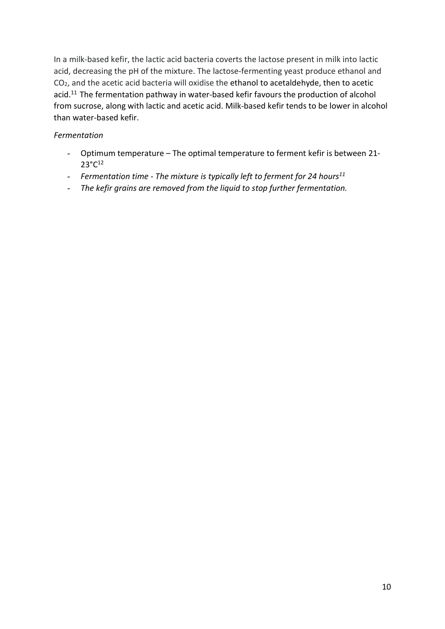In a milk-based kefir, the lactic acid bacteria coverts the lactose present in milk into lactic acid, decreasing the pH of the mixture. The lactose-fermenting yeast produce ethanol and CO2, and the acetic acid bacteria will oxidise the ethanol to acetaldehyde, then to acetic acid.<sup>11</sup> The fermentation pathway in water-based kefir favours the production of alcohol from sucrose, along with lactic and acetic acid. Milk-based kefir tends to be lower in alcohol than water-based kefir.

## Fermentation

- Optimum temperature The optimal temperature to ferment kefir is between 21- 23°C<sup>12</sup>
- Fermentation time The mixture is typically left to ferment for 24 hours<sup>11</sup>
- The kefir grains are removed from the liquid to stop further fermentation.